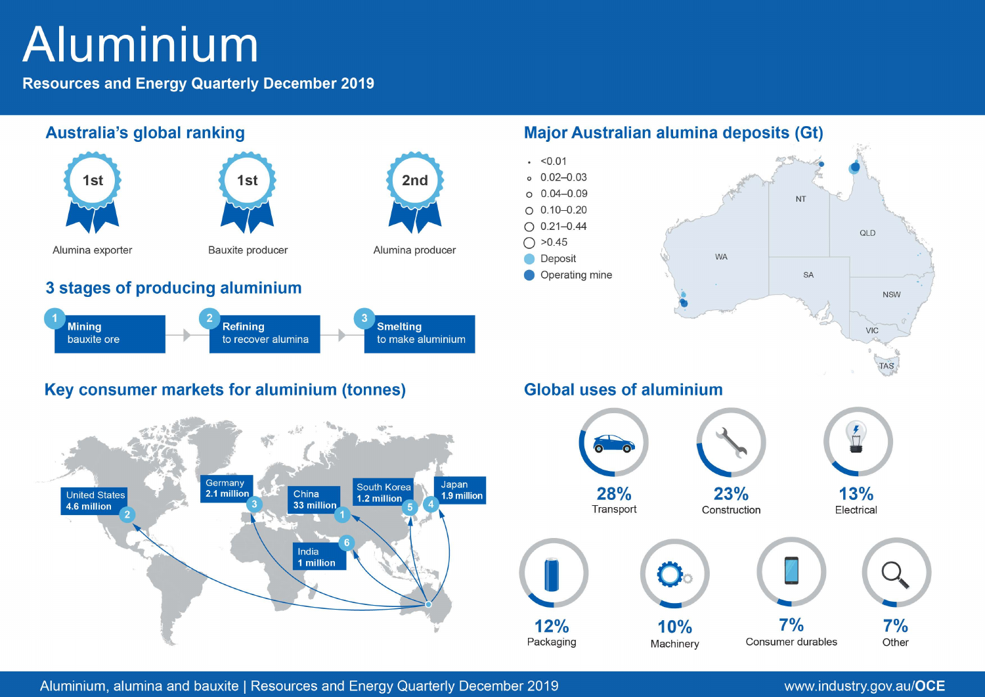# Aluminium

**Resources and Energy Quarterly December 2019** 



Aluminium, alumina and bauxite | Resources and Energy Quarterly December 2019

# www.industry.gov.au/OCE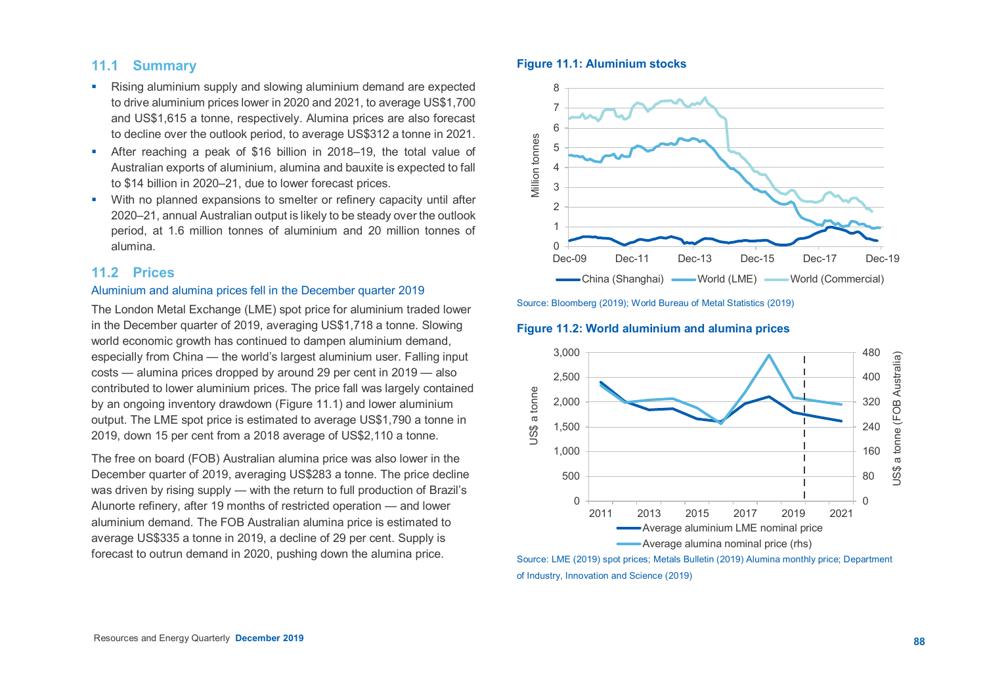# **11.1 Summary**

- Rising aluminium supply and slowing aluminium demand are expected to drive aluminium prices lower in 2020 and 2021, to average US\$1,700 and US\$1,615 a tonne, respectively. Alumina prices are also forecast to decline over the outlook period, to average US\$312 a tonne in 2021.
- After reaching a peak of \$16 billion in 2018–19, the total value of Australian exports of aluminium, alumina and bauxite is expected to fall to \$14 billion in 2020–21, due to lower forecast prices.
- With no planned expansions to smelter or refinery capacity until after 2020–21, annual Australian output is likely to be steady over the outlook period, at 1.6 million tonnes of aluminium and 20 million tonnes of alumina.

## **11.2 Prices**

#### Aluminium and alumina prices fell in the December quarter 2019

The London Metal Exchange (LME) spot price for aluminium traded lower in the December quarter of 2019, averaging US\$1,718 a tonne. Slowing world economic growth has continued to dampen aluminium demand, especially from China — the world's largest aluminium user. Falling input costs — alumina prices dropped by around 29 per cent in 2019 — also contributed to lower aluminium prices. The price fall was largely contained by an ongoing inventory drawdown (Figure 11.1) and lower aluminium output. The LME spot price is estimated to average US\$1,790 a tonne in 2019, down 15 per cent from a 2018 average of US\$2,110 a tonne.

The free on board (FOB) Australian alumina price was also lower in the December quarter of 2019, averaging US\$283 a tonne. The price decline was driven by rising supply — with the return to full production of Brazil's Alunorte refinery, after 19 months of restricted operation — and lower aluminium demand. The FOB Australian alumina price is estimated to average US\$335 a tonne in 2019, a decline of 29 per cent. Supply is forecast to outrun demand in 2020, pushing down the alumina price.

#### **Figure 11.1: Aluminium stocks**



Source: Bloomberg (2019); World Bureau of Metal Statistics (2019)

#### **Figure 11.2: World aluminium and alumina prices**



Source: LME (2019) spot prices; Metals Bulletin (2019) Alumina monthly price; Department of Industry, Innovation and Science (2019)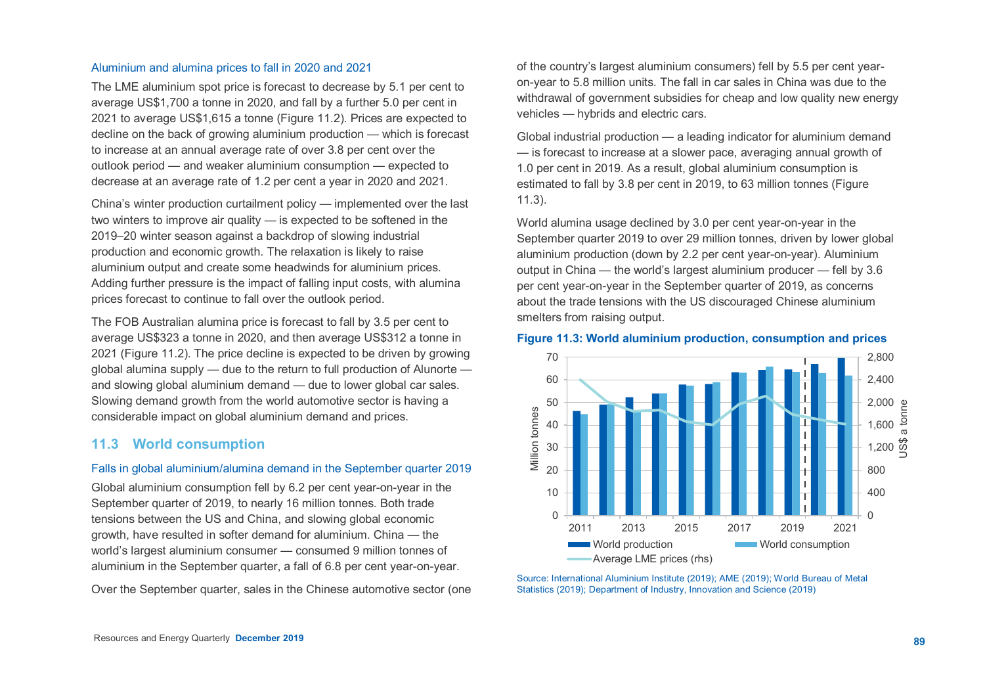#### Aluminium and alumina prices to fall in 2020 and 2021

The LME aluminium spot price is forecast to decrease by 5.1 per cent to average US\$1,700 a tonne in 2020, and fall by a further 5.0 per cent in 2021 to average US\$1,615 a tonne (Figure 11.2). Prices are expected to decline on the back of growing aluminium production — which is forecast to increase at an annual average rate of over 3.8 per cent over the outlook period — and weaker aluminium consumption — expected to decrease at an average rate of 1.2 per cent a year in 2020 and 2021.

China's winter production curtailment policy — implemented over the last two winters to improve air quality — is expected to be softened in the 2019–20 winter season against a backdrop of slowing industrial production and economic growth. The relaxation is likely to raise aluminium output and create some headwinds for aluminium prices. Adding further pressure is the impact of falling input costs, with alumina prices forecast to continue to fall over the outlook period.

The FOB Australian alumina price is forecast to fall by 3.5 per cent to average US\$323 a tonne in 2020, and then average US\$312 a tonne in 2021 (Figure 11.2). The price decline is expected to be driven by growing global alumina supply — due to the return to full production of Alunorte and slowing global aluminium demand — due to lower global car sales. Slowing demand growth from the world automotive sector is having a considerable impact on global aluminium demand and prices.

# **11.3 World consumption**

#### Falls in global aluminium/alumina demand in the September quarter 2019

Global aluminium consumption fell by 6.2 per cent year-on-year in the September quarter of 2019, to nearly 16 million tonnes. Both trade tensions between the US and China, and slowing global economic growth, have resulted in softer demand for aluminium. China — the world's largest aluminium consumer — consumed 9 million tonnes of aluminium in the September quarter, a fall of 6.8 per cent year-on-year.

Over the September quarter, sales in the Chinese automotive sector (one

of the country's largest aluminium consumers) fell by 5.5 per cent yearon-year to 5.8 million units. The fall in car sales in China was due to the withdrawal of government subsidies for cheap and low quality new energy vehicles — hybrids and electric cars.

Global industrial production — a leading indicator for aluminium demand — is forecast to increase at a slower pace, averaging annual growth of 1.0 per cent in 2019. As a result, global aluminium consumption is estimated to fall by 3.8 per cent in 2019, to 63 million tonnes (Figure 11.3).

World alumina usage declined by 3.0 per cent year-on-year in the September quarter 2019 to over 29 million tonnes, driven by lower global aluminium production (down by 2.2 per cent year-on-year). Aluminium output in China — the world's largest aluminium producer — fell by 3.6 per cent year-on-year in the September quarter of 2019, as concerns about the trade tensions with the US discouraged Chinese aluminium smelters from raising output.

#### **Figure 11.3: World aluminium production, consumption and prices**



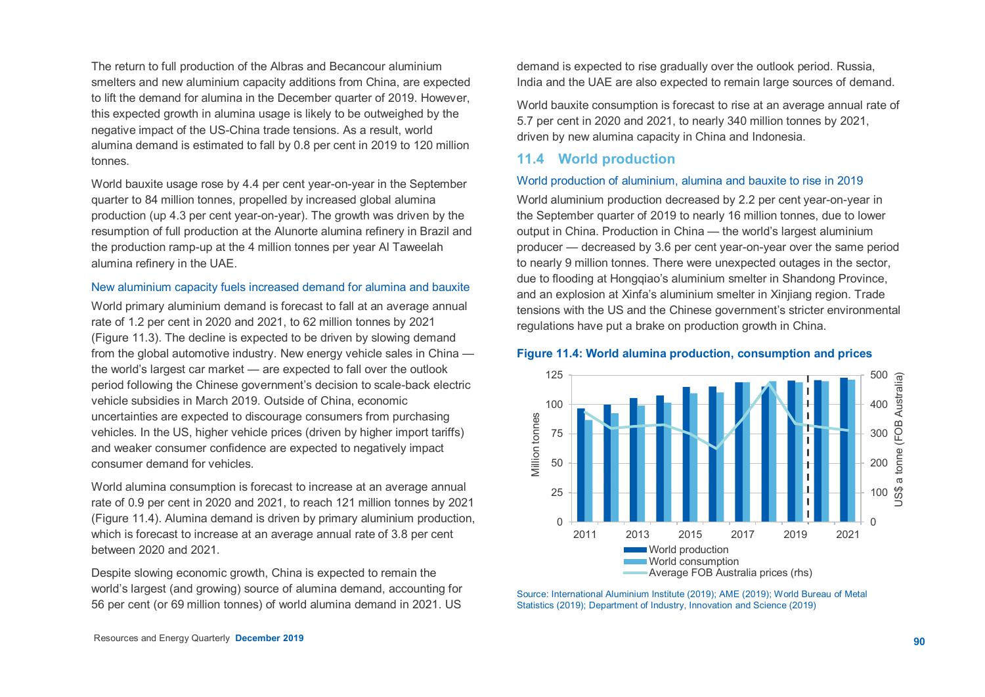The return to full production of the Albras and Becancour aluminium smelters and new aluminium capacity additions from China, are expected to lift the demand for alumina in the December quarter of 2019. However, this expected growth in alumina usage is likely to be outweighed by the negative impact of the US-China trade tensions. As a result, world alumina demand is estimated to fall by 0.8 per cent in 2019 to 120 million tonnes.

World bauxite usage rose by 4.4 per cent year-on-year in the September quarter to 84 million tonnes, propelled by increased global alumina production (up 4.3 per cent year-on-year). The growth was driven by the resumption of full production at the Alunorte alumina refinery in Brazil and the production ramp-up at the 4 million tonnes per year Al Taweelah alumina refinery in the UAE.

#### New aluminium capacity fuels increased demand for alumina and bauxite

World primary aluminium demand is forecast to fall at an average annual rate of 1.2 per cent in 2020 and 2021, to 62 million tonnes by 2021 (Figure 11.3). The decline is expected to be driven by slowing demand from the global automotive industry. New energy vehicle sales in China the world's largest car market — are expected to fall over the outlook period following the Chinese government's decision to scale-back electric vehicle subsidies in March 2019. Outside of China, economic uncertainties are expected to discourage consumers from purchasing vehicles. In the US, higher vehicle prices (driven by higher import tariffs) and weaker consumer confidence are expected to negatively impact consumer demand for vehicles.

World alumina consumption is forecast to increase at an average annual rate of 0.9 per cent in 2020 and 2021, to reach 121 million tonnes by 2021 (Figure 11.4). Alumina demand is driven by primary aluminium production, which is forecast to increase at an average annual rate of 3.8 per cent between 2020 and 2021.

Despite slowing economic growth, China is expected to remain the world's largest (and growing) source of alumina demand, accounting for 56 per cent (or 69 million tonnes) of world alumina demand in 2021. US

demand is expected to rise gradually over the outlook period. Russia, India and the UAE are also expected to remain large sources of demand.

World bauxite consumption is forecast to rise at an average annual rate of 5.7 per cent in 2020 and 2021, to nearly 340 million tonnes by 2021, driven by new alumina capacity in China and Indonesia.

#### **11.4 World production**

#### World production of aluminium, alumina and bauxite to rise in 2019

World aluminium production decreased by 2.2 per cent year-on-year in the September quarter of 2019 to nearly 16 million tonnes, due to lower output in China. Production in China — the world's largest aluminium producer — decreased by 3.6 per cent year-on-year over the same period to nearly 9 million tonnes. There were unexpected outages in the sector, due to flooding at Hongqiao's aluminium smelter in Shandong Province, and an explosion at Xinfa's aluminium smelter in Xinjiang region. Trade tensions with the US and the Chinese government's stricter environmental regulations have put a brake on production growth in China.

#### **Figure 11.4: World alumina production, consumption and prices**



Source: International Aluminium Institute (2019); AME (2019); World Bureau of Metal Statistics (2019); Department of Industry, Innovation and Science (2019)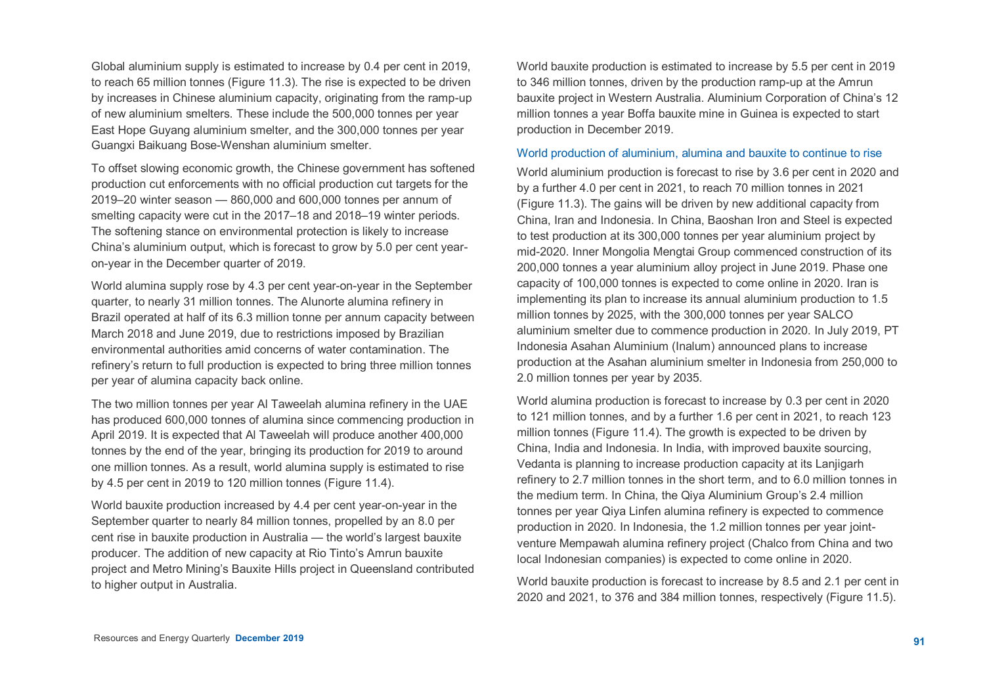Global aluminium supply is estimated to increase by 0.4 per cent in 2019, to reach 65 million tonnes (Figure 11.3). The rise is expected to be driven by increases in Chinese aluminium capacity, originating from the ramp-up of new aluminium smelters. These include the 500,000 tonnes per year East Hope Guyang aluminium smelter, and the 300,000 tonnes per year Guangxi Baikuang Bose-Wenshan aluminium smelter.

To offset slowing economic growth, the Chinese government has softened production cut enforcements with no official production cut targets for the 2019–20 winter season — 860,000 and 600,000 tonnes per annum of smelting capacity were cut in the 2017–18 and 2018–19 winter periods. The softening stance on environmental protection is likely to increase China's aluminium output, which is forecast to grow by 5.0 per cent yearon-year in the December quarter of 2019.

World alumina supply rose by 4.3 per cent year-on-year in the September quarter, to nearly 31 million tonnes. The Alunorte alumina refinery in Brazil operated at half of its 6.3 million tonne per annum capacity between March 2018 and June 2019, due to restrictions imposed by Brazilian environmental authorities amid concerns of water contamination. The refinery's return to full production is expected to bring three million tonnes per year of alumina capacity back online.

The two million tonnes per year Al Taweelah alumina refinery in the UAE has produced 600,000 tonnes of alumina since commencing production in April 2019. It is expected that Al Taweelah will produce another 400,000 tonnes by the end of the year, bringing its production for 2019 to around one million tonnes. As a result, world alumina supply is estimated to rise by 4.5 per cent in 2019 to 120 million tonnes (Figure 11.4).

World bauxite production increased by 4.4 per cent year-on-year in the September quarter to nearly 84 million tonnes, propelled by an 8.0 per cent rise in bauxite production in Australia — the world's largest bauxite producer. The addition of new capacity at Rio Tinto's Amrun bauxite project and Metro Mining's Bauxite Hills project in Queensland contributed to higher output in Australia.

World bauxite production is estimated to increase by 5.5 per cent in 2019 to 346 million tonnes, driven by the production ramp-up at the Amrun bauxite project in Western Australia. Aluminium Corporation of China's 12 million tonnes a year Boffa bauxite mine in Guinea is expected to start production in December 2019.

#### World production of aluminium, alumina and bauxite to continue to rise

World aluminium production is forecast to rise by 3.6 per cent in 2020 and by a further 4.0 per cent in 2021, to reach 70 million tonnes in 2021 (Figure 11.3). The gains will be driven by new additional capacity from China, Iran and Indonesia. In China, Baoshan Iron and Steel is expected to test production at its 300,000 tonnes per year aluminium project by mid-2020. Inner Mongolia Mengtai Group commenced construction of its 200,000 tonnes a year aluminium alloy project in June 2019. Phase one capacity of 100,000 tonnes is expected to come online in 2020. Iran is implementing its plan to increase its annual aluminium production to 1.5 million tonnes by 2025, with the 300,000 tonnes per year SALCO aluminium smelter due to commence production in 2020. In July 2019, PT Indonesia Asahan Aluminium (Inalum) announced plans to increase production at the Asahan aluminium smelter in Indonesia from 250,000 to 2.0 million tonnes per year by 2035.

World alumina production is forecast to increase by 0.3 per cent in 2020 to 121 million tonnes, and by a further 1.6 per cent in 2021, to reach 123 million tonnes (Figure 11.4). The growth is expected to be driven by China, India and Indonesia. In India, with improved bauxite sourcing, Vedanta is planning to increase production capacity at its Lanjigarh refinery to 2.7 million tonnes in the short term, and to 6.0 million tonnes in the medium term. In China, the Qiya Aluminium Group's 2.4 million tonnes per year Qiya Linfen alumina refinery is expected to commence production in 2020. In Indonesia, the 1.2 million tonnes per year jointventure Mempawah alumina refinery project (Chalco from China and two local Indonesian companies) is expected to come online in 2020.

World bauxite production is forecast to increase by 8.5 and 2.1 per cent in 2020 and 2021, to 376 and 384 million tonnes, respectively (Figure 11.5).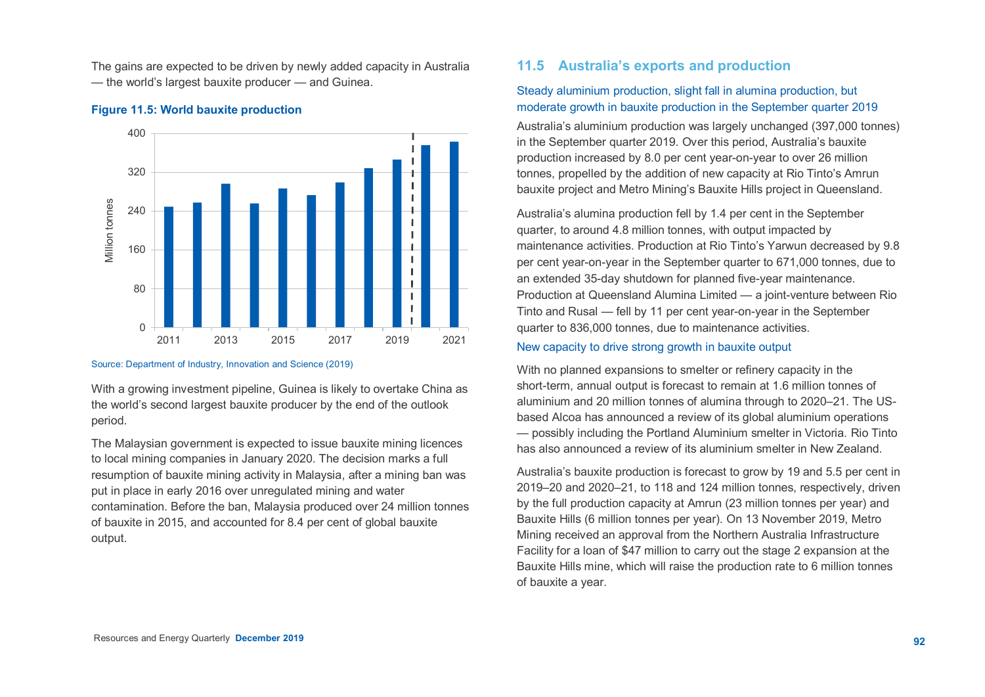The gains are expected to be driven by newly added capacity in Australia — the world's largest bauxite producer — and Guinea.

# 400 320 Villion tonnes Million tonnes240 160 80  $\cap$ 2011 2013 2015 2017 2019 2021

#### **Figure 11.5: World bauxite production**

#### Source: Department of Industry, Innovation and Science (2019)

With a growing investment pipeline, Guinea is likely to overtake China as the world's second largest bauxite producer by the end of the outlook period.

The Malaysian government is expected to issue bauxite mining licences to local mining companies in January 2020. The decision marks a full resumption of bauxite mining activity in Malaysia, after a mining ban was put in place in early 2016 over unregulated mining and water contamination. Before the ban, Malaysia produced over 24 million tonnes of bauxite in 2015, and accounted for 8.4 per cent of global bauxite output.

# **11.5 Australia's exports and production**

# Steady aluminium production, slight fall in alumina production, but moderate growth in bauxite production in the September quarter 2019

Australia's aluminium production was largely unchanged (397,000 tonnes) in the September quarter 2019. Over this period, Australia's bauxite production increased by 8.0 per cent year-on-year to over 26 million tonnes, propelled by the addition of new capacity at Rio Tinto's Amrun bauxite project and Metro Mining's Bauxite Hills project in Queensland.

Australia's alumina production fell by 1.4 per cent in the September quarter, to around 4.8 million tonnes, with output impacted by maintenance activities. Production at Rio Tinto's Yarwun decreased by 9.8 per cent year-on-year in the September quarter to 671,000 tonnes, due to an extended 35-day shutdown for planned five-year maintenance. Production at Queensland Alumina Limited — a joint-venture between Rio Tinto and Rusal — fell by 11 per cent year-on-year in the September quarter to 836,000 tonnes, due to maintenance activities.

#### New capacity to drive strong growth in bauxite output

With no planned expansions to smelter or refinery capacity in the short-term, annual output is forecast to remain at 1.6 million tonnes of aluminium and 20 million tonnes of alumina through to 2020–21. The USbased Alcoa has announced a review of its global aluminium operations — possibly including the Portland Aluminium smelter in Victoria. Rio Tinto has also announced a review of its aluminium smelter in New Zealand.

Australia's bauxite production is forecast to grow by 19 and 5.5 per cent in 2019–20 and 2020–21, to 118 and 124 million tonnes, respectively, driven by the full production capacity at Amrun (23 million tonnes per year) and Bauxite Hills (6 million tonnes per year). On 13 November 2019, Metro Mining received an approval from the Northern Australia Infrastructure Facility for a loan of \$47 million to carry out the stage 2 expansion at the Bauxite Hills mine, which will raise the production rate to 6 million tonnes of bauxite a year.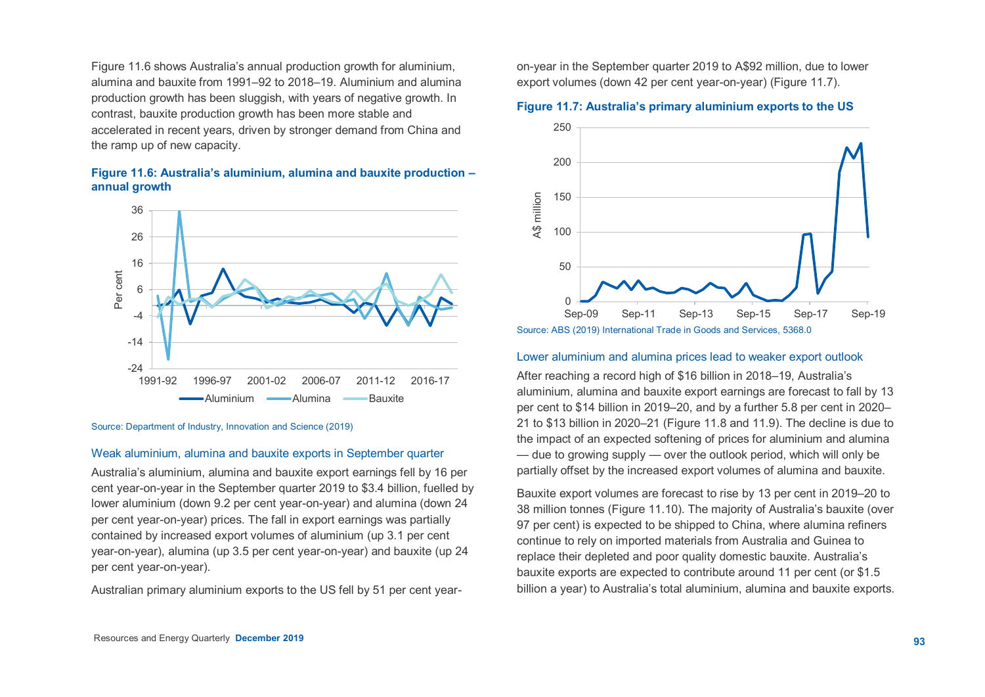Figure 11.6 shows Australia's annual production growth for aluminium, alumina and bauxite from 1991–92 to 2018–19. Aluminium and alumina production growth has been sluggish, with years of negative growth. In contrast, bauxite production growth has been more stable and accelerated in recent years, driven by stronger demand from China and the ramp up of new capacity.

#### **Figure 11.6: Australia's aluminium, alumina and bauxite production – annual growth**



Source: Department of Industry, Innovation and Science (2019)

#### Weak aluminium, alumina and bauxite exports in September quarter

Australia's aluminium, alumina and bauxite export earnings fell by 16 per cent year-on-year in the September quarter 2019 to \$3.4 billion, fuelled by lower aluminium (down 9.2 per cent year-on-year) and alumina (down 24 per cent year-on-year) prices. The fall in export earnings was partially contained by increased export volumes of aluminium (up 3.1 per cent year-on-year), alumina (up 3.5 per cent year-on-year) and bauxite (up 24 per cent year-on-year).

Australian primary aluminium exports to the US fell by 51 per cent year-

on-year in the September quarter 2019 to A\$92 million, due to lower export volumes (down 42 per cent year-on-year) (Figure 11.7).

# $0 +$ Sep-09 50 100 150 200 250 Sep-09 Sep-11 Sep-13 Sep-15 Sep-17 Sep-19 A\$ million

## **Figure 11.7: Australia's primary aluminium exports to the US**

Source: ABS (2019) International Trade in Goods and Services, 5368.0

#### Lower aluminium and alumina prices lead to weaker export outlook

After reaching a record high of \$16 billion in 2018–19, Australia's aluminium, alumina and bauxite export earnings are forecast to fall by 13 per cent to \$14 billion in 2019–20, and by a further 5.8 per cent in 2020– 21 to \$13 billion in 2020–21 (Figure 11.8 and 11.9). The decline is due to the impact of an expected softening of prices for aluminium and alumina — due to growing supply — over the outlook period, which will only be partially offset by the increased export volumes of alumina and bauxite.

Bauxite export volumes are forecast to rise by 13 per cent in 2019–20 to 38 million tonnes (Figure 11.10). The majority of Australia's bauxite (over 97 per cent) is expected to be shipped to China, where alumina refiners continue to rely on imported materials from Australia and Guinea to replace their depleted and poor quality domestic bauxite. Australia's bauxite exports are expected to contribute around 11 per cent (or \$1.5 billion a year) to Australia's total aluminium, alumina and bauxite exports.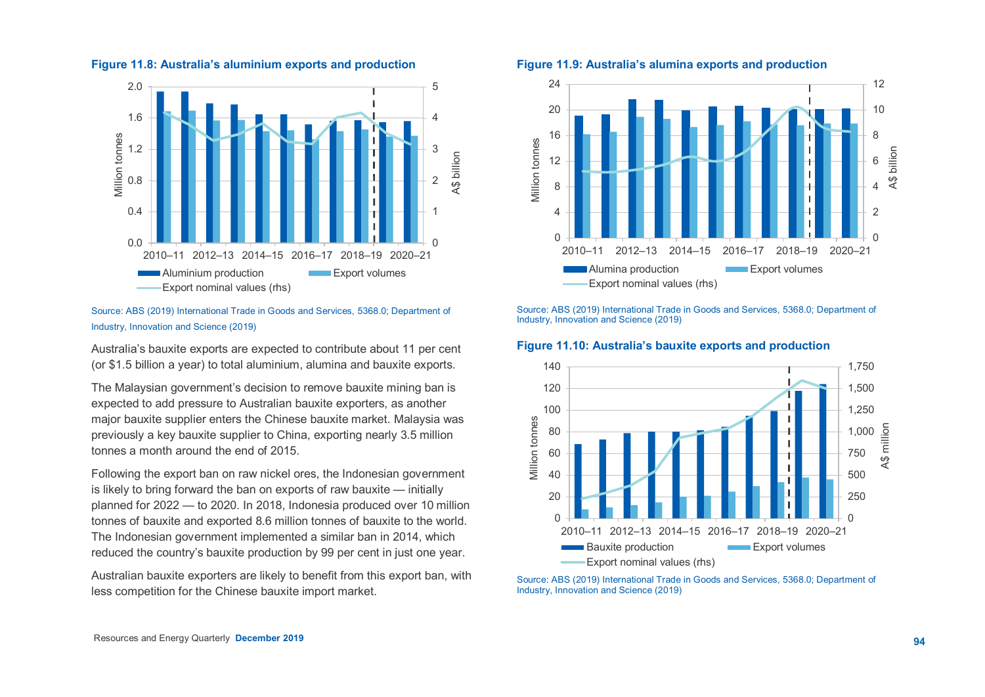

#### **Figure 11.8: Australia's aluminium exports and production**

#### Source: ABS (2019) International Trade in Goods and Services, 5368.0; Department of Industry, Innovation and Science (2019)

Australia's bauxite exports are expected to contribute about 11 per cent (or \$1.5 billion a year) to total aluminium, alumina and bauxite exports.

The Malaysian government's decision to remove bauxite mining ban is expected to add pressure to Australian bauxite exporters, as another major bauxite supplier enters the Chinese bauxite market. Malaysia was previously a key bauxite supplier to China, exporting nearly 3.5 million tonnes a month around the end of 2015.

Following the export ban on raw nickel ores, the Indonesian government is likely to bring forward the ban on exports of raw bauxite — initially planned for 2022 — to 2020. In 2018, Indonesia produced over 10 million tonnes of bauxite and exported 8.6 million tonnes of bauxite to the world. The Indonesian government implemented a similar ban in 2014, which reduced the country's bauxite production by 99 per cent in just one year.

Australian bauxite exporters are likely to benefit from this export ban, with less competition for the Chinese bauxite import market.

#### **Figure 11.9: Australia's alumina exports and production**



Source: ABS (2019) International Trade in Goods and Services, 5368.0; Department of Industry, Innovation and Science (2019)

#### **Figure 11.10: Australia's bauxite exports and production**



Source: ABS (2019) International Trade in Goods and Services, 5368.0; Department of Industry, Innovation and Science (2019)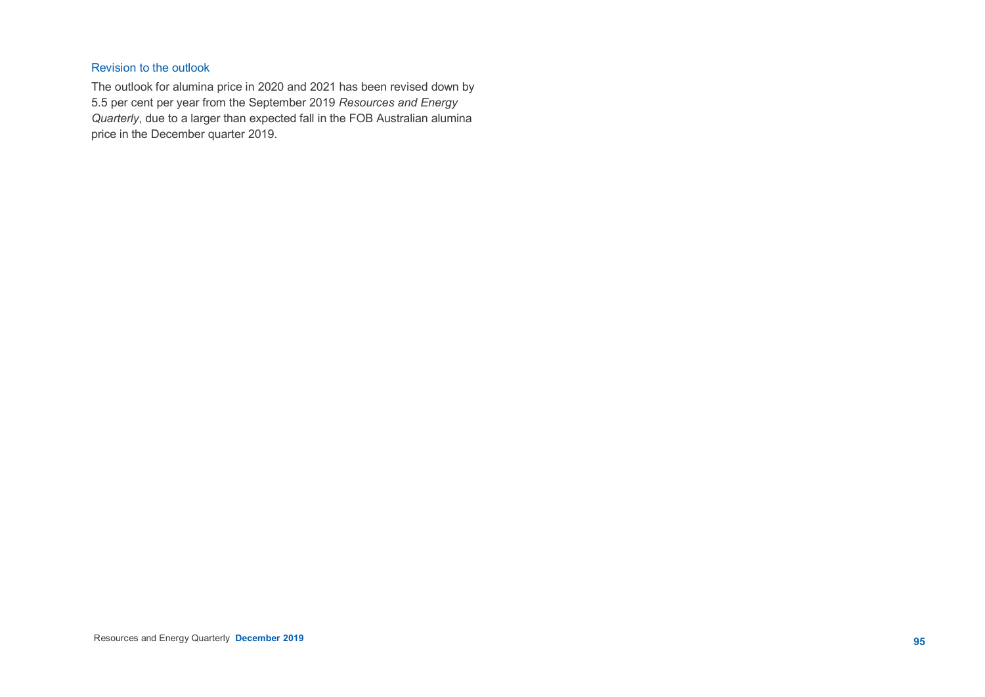## Revision to the outlook

The outlook for alumina price in 2020 and 2021 has been revised down by 5.5 per cent per year from the September 2019 *Resources and Energy Quarterly*, due to a larger than expected fall in the FOB Australian alumina price in the December quarter 2019.